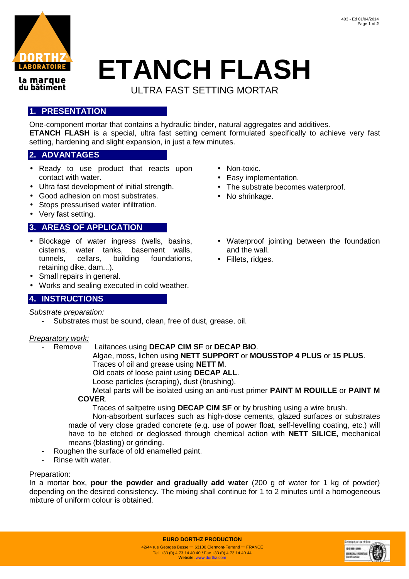

la marque du bâtiment

# **ETANCH FLASH**

ULTRA FAST SETTING MORTAR

# **1. PRESENTATION**

One-component mortar that contains a hydraulic binder, natural aggregates and additives. **ETANCH FLASH** is a special, ultra fast setting cement formulated specifically to achieve very fast setting, hardening and slight expansion, in just a few minutes.

## **2. ADVANTAGES**

- Ready to use product that reacts upon contact with water.
- Ultra fast development of initial strength.
- Good adhesion on most substrates.
- Stops pressurised water infiltration.
- Very fast setting.

# **3. AREAS OF APPLICATION**

- Blockage of water ingress (wells, basins, cisterns, water tanks, basement walls, tunnels, cellars, building foundations, retaining dike, dam...).
- Small repairs in general.
- Works and sealing executed in cold weather.

## **4. INSTRUCTIONS**

### Substrate preparation:

Substrates must be sound, clean, free of dust, grease, oil.

### Preparatory work:

- Remove Laitances using **DECAP CIM SF** or **DECAP BIO**.

Algae, moss, lichen using **NETT SUPPORT** or **MOUSSTOP 4 PLUS** or **15 PLUS**. Traces of oil and grease using **NETT M**.

Old coats of loose paint using **DECAP ALL**.

Loose particles (scraping), dust (brushing).

Metal parts will be isolated using an anti-rust primer **PAINT M ROUILLE** or **PAINT M** 

### **COVER**.

Traces of saltpetre using **DECAP CIM SF** or by brushing using a wire brush.

Non-absorbent surfaces such as high-dose cements, glazed surfaces or substrates made of very close graded concrete (e.g. use of power float, self-levelling coating, etc.) will have to be etched or deglossed through chemical action with **NETT SILICE,** mechanical means (blasting) or grinding.

- Roughen the surface of old enamelled paint.
- Rinse with water.

### Preparation:

In a mortar box, **pour the powder and gradually add water** (200 g of water for 1 kg of powder) depending on the desired consistency. The mixing shall continue for 1 to 2 minutes until a homogeneous mixture of uniform colour is obtained.



- Non-toxic.
- Easy implementation.
- The substrate becomes waterproof.
- No shrinkage.
- Waterproof jointing between the foundation and the wall.
- Fillets, ridges.